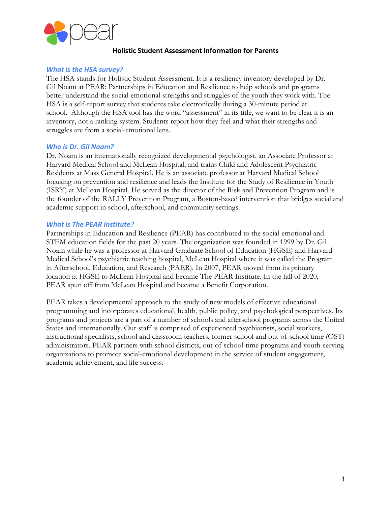

# **Holistic Student Assessment Information for Parents**

## *What is the HSA survey?*

The HSA stands for Holistic Student Assessment. It is a resiliency inventory developed by Dr. Gil Noam at PEAR: Partnerships in Education and Resilience to help schools and programs better understand the social-emotional strengths and struggles of the youth they work with. The HSA is a self-report survey that students take electronically during a 30-minute period at school. Although the HSA tool has the word "assessment" in its title, we want to be clear it is an inventory, not a ranking system. Students report how they feel and what their strengths and struggles are from a social-emotional lens.

### *Who is Dr. Gil Noam?*

Dr. Noam is an internationally recognized developmental psychologist, an Associate Professor at Harvard Medical School and McLean Hospital, and trains Child and Adolescent Psychiatric Residents at Mass General Hospital. He is an associate professor at Harvard Medical School focusing on prevention and resilience and leads the Institute for the Study of Resilience in Youth (ISRY) at McLean Hospital. He served as the director of the Risk and Prevention Program and is the founder of the RALLY Prevention Program, a Boston-based intervention that bridges social and academic support in school, afterschool, and community settings.

### *What is The PEAR Institute?*

Partnerships in Education and Resilience (PEAR) has contributed to the social-emotional and STEM education fields for the past 20 years. The organization was founded in 1999 by Dr. Gil Noam while he was a professor at Harvard Graduate School of Education (HGSE) and Harvard Medical School's psychiatric teaching hospital, McLean Hospital where it was called the Program in Afterschool, Education, and Research (PAER). In 2007, PEAR moved from its primary location at HGSE to McLean Hospital and became The PEAR Institute. In the fall of 2020, PEAR spun off from McLean Hospital and became a Benefit Corporation.

PEAR takes a developmental approach to the study of new models of effective educational programming and incorporates educational, health, public policy, and psychological perspectives. Its programs and projects are a part of a number of schools and afterschool programs across the United States and internationally. Our staff is comprised of experienced psychiatrists, social workers, instructional specialists, school and classroom teachers, former school and out-of-school time (OST) administrators. PEAR partners with school districts, out-of-school-time programs and youth-serving organizations to promote social-emotional development in the service of student engagement, academic achievement, and life success.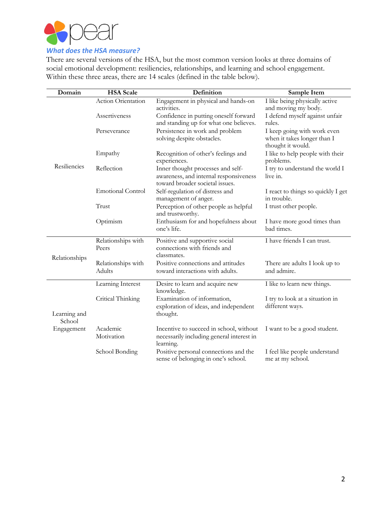

There are several versions of the HSA, but the most common version looks at three domains of social emotional development: resiliencies, relationships, and learning and school engagement. Within these three areas, there are 14 scales (defined in the table below).

| Domain                               | <b>HSA</b> Scale                    | Definition                                                                                                     | Sample Item                                                                     |
|--------------------------------------|-------------------------------------|----------------------------------------------------------------------------------------------------------------|---------------------------------------------------------------------------------|
| Resiliencies                         | Action Orientation                  | Engagement in physical and hands-on<br>activities.                                                             | I like being physically active<br>and moving my body.                           |
|                                      | Assertiveness                       | Confidence in putting oneself forward<br>and standing up for what one believes.                                | I defend myself against unfair<br>rules.                                        |
|                                      | Perseverance                        | Persistence in work and problem<br>solving despite obstacles.                                                  | I keep going with work even<br>when it takes longer than I<br>thought it would. |
|                                      | Empathy                             | Recognition of other's feelings and<br>experiences.                                                            | I like to help people with their<br>problems.                                   |
|                                      | Reflection                          | Inner thought processes and self-<br>awareness, and internal responsiveness<br>toward broader societal issues. | I try to understand the world I<br>live in.                                     |
|                                      | <b>Emotional Control</b>            | Self-regulation of distress and<br>management of anger.                                                        | I react to things so quickly I get<br>in trouble.                               |
|                                      | Trust                               | Perception of other people as helpful<br>and trustworthy.                                                      | I trust other people.                                                           |
|                                      | Optimism                            | Enthusiasm for and hopefulness about<br>one's life.                                                            | I have more good times than<br>bad times.                                       |
| Relationships                        | Relationships with<br>Peers         | Positive and supportive social<br>connections with friends and<br>classmates.                                  | I have friends I can trust.                                                     |
|                                      | Relationships with<br><b>Adults</b> | Positive connections and attitudes<br>toward interactions with adults.                                         | There are adults I look up to<br>and admire.                                    |
| Learning and<br>School<br>Engagement | Learning Interest                   | Desire to learn and acquire new<br>knowledge.                                                                  | I like to learn new things.                                                     |
|                                      | Critical Thinking                   | Examination of information,<br>exploration of ideas, and independent<br>thought.                               | I try to look at a situation in<br>different ways.                              |
|                                      | Academic<br>Motivation              | Incentive to succeed in school, without<br>necessarily including general interest in<br>learning.              | I want to be a good student.                                                    |
|                                      | School Bonding                      | Positive personal connections and the<br>sense of belonging in one's school.                                   | I feel like people understand<br>me at my school.                               |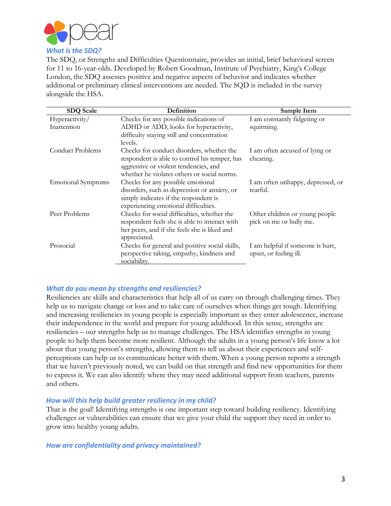

The SDQ, or Strengths and Difficulties Questionnaire, provides an initial, brief behavioral screen for 11 to 16-year-olds. Developed by Robert Goodman, Institute of Psychiatry, King's College London, the SDQ assesses positive and negative aspects of behavior and indicates whether additional or preliminary clinical interventions are needed. The SQD is included in the survey alongside the HSA.

| <b>SDQ Scale</b>          | Definition                                     | Sample Item                       |
|---------------------------|------------------------------------------------|-----------------------------------|
| Hyperactivity/            | Checks for any possible indications of         | I am constantly fidgeting or      |
| Inattention               | ADHD or ADD, looks for hyperactivity,          | squirming.                        |
|                           | difficulty staying still and concentration     |                                   |
|                           | levels.                                        |                                   |
| Conduct Problems          | Checks for conduct disorders, whether the      | I am often accused of lying or    |
|                           | respondent is able to control his temper, has  | cheating.                         |
|                           | aggressive or violent tendencies, and          |                                   |
|                           | whether he violates others or social norms.    |                                   |
| <b>Emotional Symptoms</b> | Checks for any possible emotional              | I am often unhappy, depressed, or |
|                           | disorders, such as depression or anxiety, or   | tearful.                          |
|                           | simply indicates if the respondent is          |                                   |
|                           | experiencing emotional difficulties.           |                                   |
| Peer Problems             | Checks for social difficulties, whether the    | Other children or young people    |
|                           | respondent feels she is able to interact with  | pick on me or bully me.           |
|                           | her peers, and if she feels she is liked and   |                                   |
|                           | appreciated.                                   |                                   |
| Prosocial                 | Checks for general and positive social skills, | I am helpful if someone is hurt,  |
|                           | perspective taking, empathy, kindness and      | upset, or feeling ill.            |
|                           | sociability.                                   |                                   |

# *What do you mean by strengths and resiliencies?*

Resiliencies are skills and characteristics that help all of us carry on through challenging times. They help us to navigate change or loss and to take care of ourselves when things get tough. Identifying and increasing resiliencies in young people is especially important as they enter adolescence, increase their independence in the world and prepare for young adulthood. In this sense, strengths are resiliencies – our strengths help us to manage challenges. The HSA identifies strengths in young people to help them become more resilient. Although the adults in a young person's life know a lot about that young person's strengths, allowing them to tell us about their experiences and selfperceptions can help us to communicate better with them. When a young person reports a strength that we haven't previously noted, we can build on that strength and find new opportunities for them to express it. We can also identify where they may need additional support from teachers, parents and others.

#### *How will this help build greater resiliency in my child?*

That is the goal! Identifying strengths is one important step toward building resiliency. Identifying challenges or vulnerabilities can ensure that we give your child the support they need in order to grow into healthy young adults.

#### *How are confidentiality and privacy maintained?*